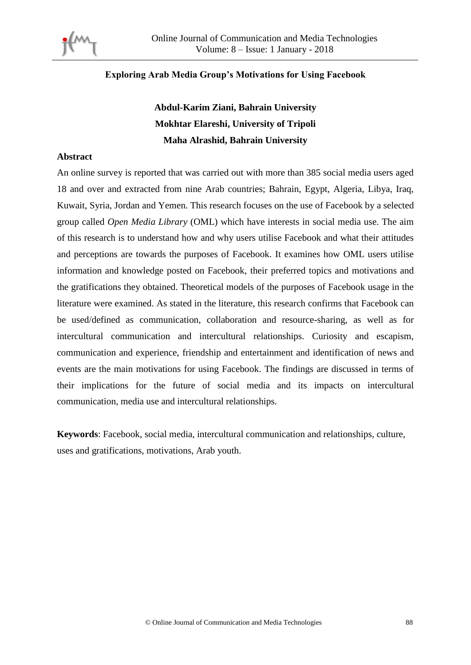

## **Exploring Arab Media Group's Motivations for Using Facebook**

# **Abdul-Karim Ziani, Bahrain University Mokhtar Elareshi, University of Tripoli Maha Alrashid, Bahrain University**

#### **Abstract**

An online survey is reported that was carried out with more than 385 social media users aged 18 and over and extracted from nine Arab countries; Bahrain, Egypt, Algeria, Libya, Iraq, Kuwait, Syria, Jordan and Yemen. This research focuses on the use of Facebook by a selected group called *Open Media Library* (OML) which have interests in social media use. The aim of this research is to understand how and why users utilise Facebook and what their attitudes and perceptions are towards the purposes of Facebook. It examines how OML users utilise information and knowledge posted on Facebook, their preferred topics and motivations and the gratifications they obtained. Theoretical models of the purposes of Facebook usage in the literature were examined. As stated in the literature, this research confirms that Facebook can be used/defined as communication, collaboration and resource-sharing, as well as for intercultural communication and intercultural relationships. Curiosity and escapism, communication and experience, friendship and entertainment and identification of news and events are the main motivations for using Facebook. The findings are discussed in terms of their implications for the future of social media and its impacts on intercultural communication, media use and intercultural relationships.

**Keywords**: Facebook, social media, intercultural communication and relationships, culture, uses and gratifications, motivations, Arab youth.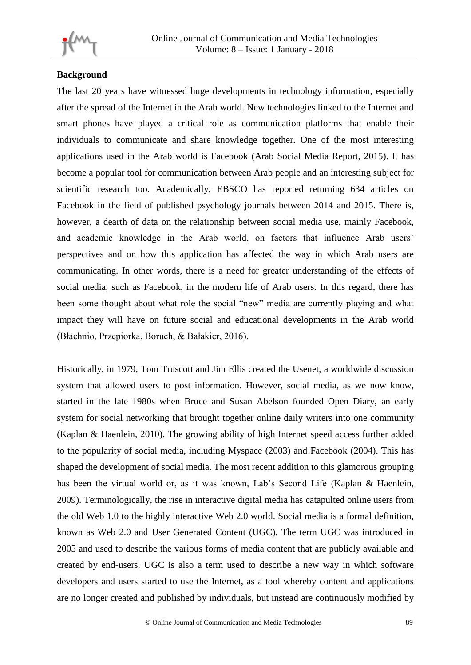

## **Background**

The last 20 years have witnessed huge developments in technology information, especially after the spread of the Internet in the Arab world. New technologies linked to the Internet and smart phones have played a critical role as communication platforms that enable their individuals to communicate and share knowledge together. One of the most interesting applications used in the Arab world is Facebook (Arab Social Media Report, 2015). It has become a popular tool for communication between Arab people and an interesting subject for scientific research too. Academically, EBSCO has reported returning 634 articles on Facebook in the field of published psychology journals between 2014 and 2015. There is, however, a dearth of data on the relationship between social media use, mainly Facebook, and academic knowledge in the Arab world, on factors that influence Arab users' perspectives and on how this application has affected the way in which Arab users are communicating. In other words, there is a need for greater understanding of the effects of social media, such as Facebook, in the modern life of Arab users. In this regard, there has been some thought about what role the social "new" media are currently playing and what impact they will have on future social and educational developments in the Arab world (Błachnio, Przepiorka, Boruch, & Bałakier, 2016).

Historically, in 1979, Tom Truscott and Jim Ellis created the Usenet, a worldwide discussion system that allowed users to post information. However, social media, as we now know, started in the late 1980s when Bruce and Susan Abelson founded Open Diary, an early system for social networking that brought together online daily writers into one community (Kaplan & Haenlein, 2010). The growing ability of high Internet speed access further added to the popularity of social media, including Myspace (2003) and Facebook (2004). This has shaped the development of social media. The most recent addition to this glamorous grouping has been the virtual world or, as it was known, Lab's Second Life (Kaplan & Haenlein, 2009). Terminologically, the rise in interactive digital media has catapulted online users from the old Web 1.0 to the highly interactive Web 2.0 world. Social media is a formal definition, known as Web 2.0 and User Generated Content (UGC). The term UGC was introduced in 2005 and used to describe the various forms of media content that are publicly available and created by end-users. UGC is also a term used to describe a new way in which software developers and users started to use the Internet, as a tool whereby content and applications are no longer created and published by individuals, but instead are continuously modified by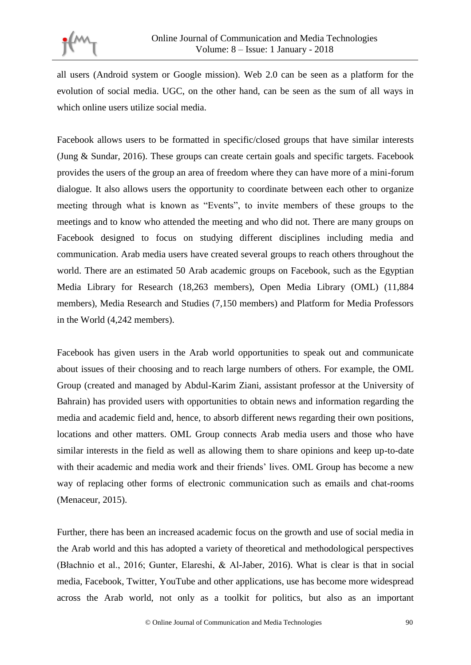

all users (Android system or Google mission). Web 2.0 can be seen as a platform for the evolution of social media. UGC, on the other hand, can be seen as the sum of all ways in which online users utilize social media.

Facebook allows users to be formatted in specific/closed groups that have similar interests (Jung & Sundar, 2016). These groups can create certain goals and specific targets. Facebook provides the users of the group an area of freedom where they can have more of a mini-forum dialogue. It also allows users the opportunity to coordinate between each other to organize meeting through what is known as "Events", to invite members of these groups to the meetings and to know who attended the meeting and who did not. There are many groups on Facebook designed to focus on studying different disciplines including media and communication. Arab media users have created several groups to reach others throughout the world. There are an estimated 50 Arab academic groups on Facebook, such as the Egyptian Media Library for Research (18,263 members), Open Media Library (OML) (11,884 members), Media Research and Studies (7,150 members) and Platform for Media Professors in the World (4,242 members).

Facebook has given users in the Arab world opportunities to speak out and communicate about issues of their choosing and to reach large numbers of others. For example, the OML Group (created and managed by Abdul-Karim Ziani, assistant professor at the University of Bahrain) has provided users with opportunities to obtain news and information regarding the media and academic field and, hence, to absorb different news regarding their own positions, locations and other matters. OML Group connects Arab media users and those who have similar interests in the field as well as allowing them to share opinions and keep up-to-date with their academic and media work and their friends' lives. OML Group has become a new way of replacing other forms of electronic communication such as emails and chat-rooms (Menaceur, 2015).

Further, there has been an increased academic focus on the growth and use of social media in the Arab world and this has adopted a variety of theoretical and methodological perspectives (Błachnio et al., 2016; Gunter, Elareshi, & Al-Jaber, 2016). What is clear is that in social media, Facebook, Twitter, YouTube and other applications, use has become more widespread across the Arab world, not only as a toolkit for politics, but also as an important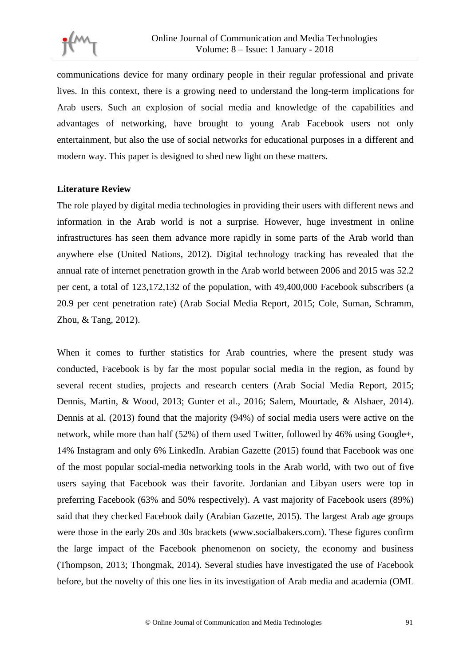

communications device for many ordinary people in their regular professional and private lives. In this context, there is a growing need to understand the long-term implications for Arab users. Such an explosion of social media and knowledge of the capabilities and advantages of networking, have brought to young Arab Facebook users not only entertainment, but also the use of social networks for educational purposes in a different and modern way. This paper is designed to shed new light on these matters.

## **Literature Review**

The role played by digital media technologies in providing their users with different news and information in the Arab world is not a surprise. However, huge investment in online infrastructures has seen them advance more rapidly in some parts of the Arab world than anywhere else (United Nations, 2012). Digital technology tracking has revealed that the annual rate of internet penetration growth in the Arab world between 2006 and 2015 was 52.2 per cent, a total of 123,172,132 of the population, with 49,400,000 Facebook subscribers (a 20.9 per cent penetration rate) (Arab Social Media Report, 2015; Cole, Suman, Schramm, Zhou, & Tang, 2012).

When it comes to further statistics for Arab countries, where the present study was conducted, Facebook is by far the most popular social media in the region, as found by several recent studies, projects and research centers (Arab Social Media Report, 2015; Dennis, Martin, & Wood, 2013; Gunter et al., 2016; Salem, Mourtade, & Alshaer, 2014). Dennis at al. (2013) found that the majority (94%) of social media users were active on the network, while more than half (52%) of them used Twitter, followed by 46% using Google+, 14% Instagram and only 6% LinkedIn. Arabian Gazette (2015) found that Facebook was one of the most popular social-media networking tools in the Arab world, with two out of five users saying that Facebook was their favorite. Jordanian and Libyan users were top in preferring Facebook (63% and 50% respectively). A vast majority of Facebook users (89%) said that they checked Facebook daily (Arabian Gazette, 2015). The largest Arab age groups were those in the early 20s and 30s brackets (www.socialbakers.com). These figures confirm the large impact of the Facebook phenomenon on society, the economy and business (Thompson, 2013; Thongmak, 2014). Several studies have investigated the use of Facebook before, but the novelty of this one lies in its investigation of Arab media and academia (OML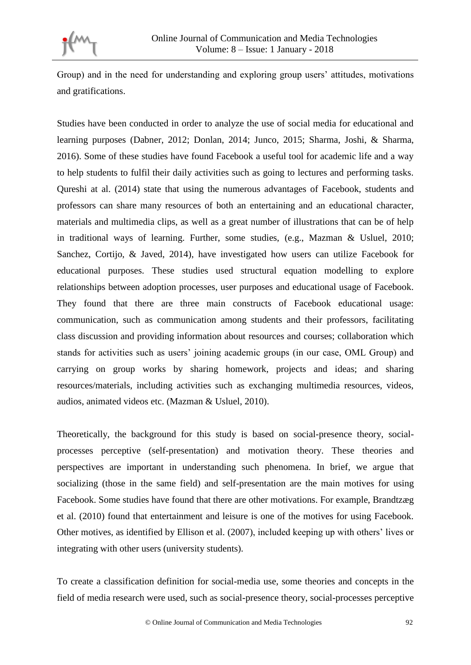

Group) and in the need for understanding and exploring group users' attitudes, motivations and gratifications.

Studies have been conducted in order to analyze the use of social media for educational and learning purposes (Dabner, 2012; Donlan, 2014; Junco, 2015; Sharma, Joshi, & Sharma, 2016). Some of these studies have found Facebook a useful tool for academic life and a way to help students to fulfil their daily activities such as going to lectures and performing tasks. Qureshi at al. (2014) state that using the numerous advantages of Facebook, students and professors can share many resources of both an entertaining and an educational character, materials and multimedia clips, as well as a great number of illustrations that can be of help in traditional ways of learning. Further, some studies, (e.g., Mazman & Usluel, 2010; Sanchez, Cortijo, & Javed, 2014), have investigated how users can utilize Facebook for educational purposes. These studies used structural equation modelling to explore relationships between adoption processes, user purposes and educational usage of Facebook. They found that there are three main constructs of Facebook educational usage: communication, such as communication among students and their professors, facilitating class discussion and providing information about resources and courses; collaboration which stands for activities such as users' joining academic groups (in our case, OML Group) and carrying on group works by sharing homework, projects and ideas; and sharing resources/materials, including activities such as exchanging multimedia resources, videos, audios, animated videos etc. (Mazman & Usluel, 2010).

Theoretically, the background for this study is based on social-presence theory, socialprocesses perceptive (self-presentation) and motivation theory. These theories and perspectives are important in understanding such phenomena. In brief, we argue that socializing (those in the same field) and self-presentation are the main motives for using Facebook. Some studies have found that there are other motivations. For example, Brandtzæg et al. (2010) found that entertainment and leisure is one of the motives for using Facebook. Other motives, as identified by Ellison et al. (2007), included keeping up with others' lives or integrating with other users (university students).

To create a classification definition for social-media use, some theories and concepts in the field of media research were used, such as social-presence theory, social-processes perceptive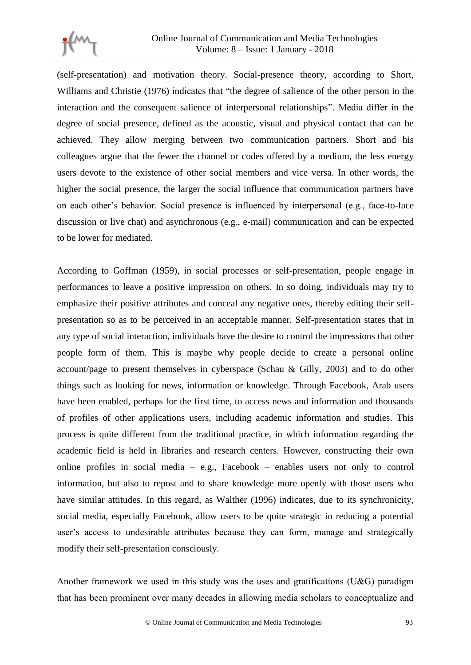

(self-presentation) and motivation theory. Social-presence theory, according to Short, Williams and Christie (1976) indicates that "the degree of salience of the other person in the interaction and the consequent salience of interpersonal relationships". Media differ in the degree of social presence, defined as the acoustic, visual and physical contact that can be achieved. They allow merging between two communication partners. Short and his colleagues argue that the fewer the channel or codes offered by a medium, the less energy users devote to the existence of other social members and vice versa. In other words, the higher the social presence, the larger the social influence that communication partners have on each other's behavior. Social presence is influenced by interpersonal (e.g., face-to-face discussion or live chat) and asynchronous (e.g., e-mail) communication and can be expected to be lower for mediated.

According to Goffman (1959), in social processes or self-presentation, people engage in performances to leave a positive impression on others. In so doing, individuals may try to emphasize their positive attributes and conceal any negative ones, thereby editing their selfpresentation so as to be perceived in an acceptable manner. Self-presentation states that in any type of social interaction, individuals have the desire to control the impressions that other people form of them. This is maybe why people decide to create a personal online account/page to present themselves in cyberspace (Schau & Gilly, 2003) and to do other things such as looking for news, information or knowledge. Through Facebook, Arab users have been enabled, perhaps for the first time, to access news and information and thousands of profiles of other applications users, including academic information and studies. This process is quite different from the traditional practice, in which information regarding the academic field is held in libraries and research centers. However, constructing their own online profiles in social media – e.g., Facebook – enables users not only to control information, but also to repost and to share knowledge more openly with those users who have similar attitudes. In this regard, as Walther (1996) indicates, due to its synchronicity, social media, especially Facebook, allow users to be quite strategic in reducing a potential user's access to undesirable attributes because they can form, manage and strategically modify their self-presentation consciously.

Another framework we used in this study was the uses and gratifications (U&G) paradigm that has been prominent over many decades in allowing media scholars to conceptualize and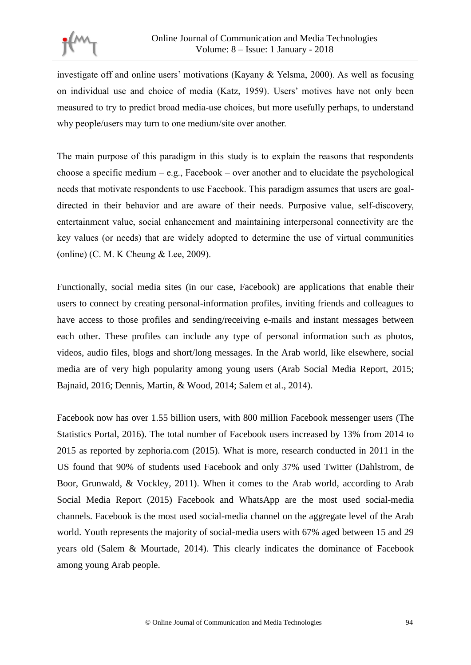

investigate off and online users' motivations (Kayany & Yelsma, 2000). As well as focusing on individual use and choice of media (Katz, 1959). Users' motives have not only been measured to try to predict broad media-use choices, but more usefully perhaps, to understand why people/users may turn to one medium/site over another.

The main purpose of this paradigm in this study is to explain the reasons that respondents choose a specific medium – e.g., Facebook – over another and to elucidate the psychological needs that motivate respondents to use Facebook. This paradigm assumes that users are goaldirected in their behavior and are aware of their needs. Purposive value, self-discovery, entertainment value, social enhancement and maintaining interpersonal connectivity are the key values (or needs) that are widely adopted to determine the use of virtual communities (online) (C. M. K Cheung & Lee, 2009).

Functionally, social media sites (in our case, Facebook) are applications that enable their users to connect by creating personal-information profiles, inviting friends and colleagues to have access to those profiles and sending/receiving e-mails and instant messages between each other. These profiles can include any type of personal information such as photos, videos, audio files, blogs and short/long messages. In the Arab world, like elsewhere, social media are of very high popularity among young users (Arab Social Media Report, 2015; Bajnaid, 2016; Dennis, Martin, & Wood, 2014; Salem et al., 2014).

Facebook now has over 1.55 billion users, with 800 million Facebook messenger users (The Statistics Portal, 2016). The total number of Facebook users increased by 13% from 2014 to 2015 as reported by zephoria.com (2015). What is more, research conducted in 2011 in the US found that 90% of students used Facebook and only 37% used Twitter (Dahlstrom, de Boor, Grunwald, & Vockley, 2011). When it comes to the Arab world, according to Arab Social Media Report (2015) Facebook and WhatsApp are the most used social-media channels. Facebook is the most used social-media channel on the aggregate level of the Arab world. Youth represents the majority of social-media users with 67% aged between 15 and 29 years old (Salem & Mourtade, 2014). This clearly indicates the dominance of Facebook among young Arab people.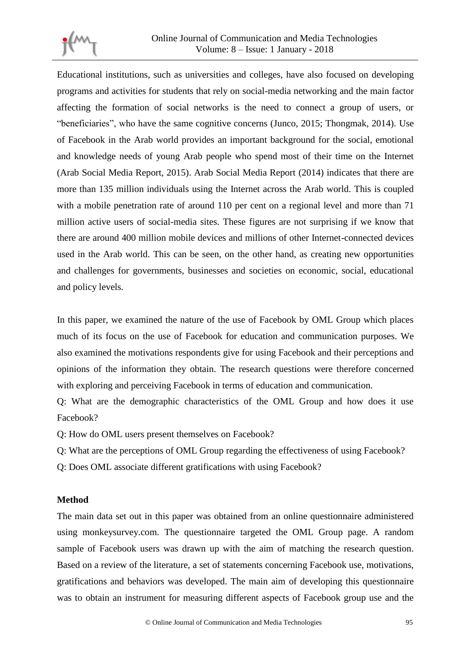

Educational institutions, such as universities and colleges, have also focused on developing programs and activities for students that rely on social-media networking and the main factor affecting the formation of social networks is the need to connect a group of users, or "beneficiaries", who have the same cognitive concerns (Junco, 2015; Thongmak, 2014). Use of Facebook in the Arab world provides an important background for the social, emotional and knowledge needs of young Arab people who spend most of their time on the Internet (Arab Social Media Report, 2015). Arab Social Media Report (2014) indicates that there are more than 135 million individuals using the Internet across the Arab world. This is coupled with a mobile penetration rate of around 110 per cent on a regional level and more than 71 million active users of social-media sites. These figures are not surprising if we know that there are around 400 million mobile devices and millions of other Internet-connected devices used in the Arab world. This can be seen, on the other hand, as creating new opportunities and challenges for governments, businesses and societies on economic, social, educational and policy levels.

In this paper, we examined the nature of the use of Facebook by OML Group which places much of its focus on the use of Facebook for education and communication purposes. We also examined the motivations respondents give for using Facebook and their perceptions and opinions of the information they obtain. The research questions were therefore concerned with exploring and perceiving Facebook in terms of education and communication.

Q: What are the demographic characteristics of the OML Group and how does it use Facebook?

Q: How do OML users present themselves on Facebook?

- Q: What are the perceptions of OML Group regarding the effectiveness of using Facebook?
- Q: Does OML associate different gratifications with using Facebook?

## **Method**

The main data set out in this paper was obtained from an online questionnaire administered using monkeysurvey.com. The questionnaire targeted the OML Group page. A random sample of Facebook users was drawn up with the aim of matching the research question. Based on a review of the literature, a set of statements concerning Facebook use, motivations, gratifications and behaviors was developed. The main aim of developing this questionnaire was to obtain an instrument for measuring different aspects of Facebook group use and the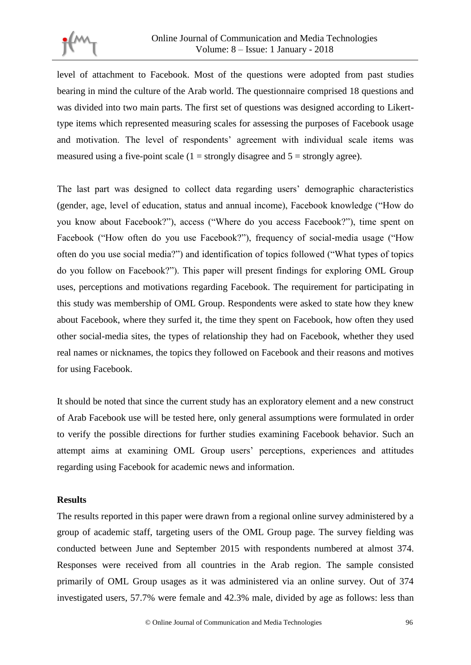

level of attachment to Facebook. Most of the questions were adopted from past studies bearing in mind the culture of the Arab world. The questionnaire comprised 18 questions and was divided into two main parts. The first set of questions was designed according to Likerttype items which represented measuring scales for assessing the purposes of Facebook usage and motivation. The level of respondents' agreement with individual scale items was measured using a five-point scale  $(1 =$  strongly disagree and  $5 =$  strongly agree).

The last part was designed to collect data regarding users' demographic characteristics (gender, age, level of education, status and annual income), Facebook knowledge ("How do you know about Facebook?"), access ("Where do you access Facebook?"), time spent on Facebook ("How often do you use Facebook?"), frequency of social-media usage ("How often do you use social media?") and identification of topics followed ("What types of topics do you follow on Facebook?"). This paper will present findings for exploring OML Group uses, perceptions and motivations regarding Facebook. The requirement for participating in this study was membership of OML Group. Respondents were asked to state how they knew about Facebook, where they surfed it, the time they spent on Facebook, how often they used other social-media sites, the types of relationship they had on Facebook, whether they used real names or nicknames, the topics they followed on Facebook and their reasons and motives for using Facebook.

It should be noted that since the current study has an exploratory element and a new construct of Arab Facebook use will be tested here, only general assumptions were formulated in order to verify the possible directions for further studies examining Facebook behavior. Such an attempt aims at examining OML Group users' perceptions, experiences and attitudes regarding using Facebook for academic news and information.

## **Results**

The results reported in this paper were drawn from a regional online survey administered by a group of academic staff, targeting users of the OML Group page. The survey fielding was conducted between June and September 2015 with respondents numbered at almost 374. Responses were received from all countries in the Arab region. The sample consisted primarily of OML Group usages as it was administered via an online survey. Out of 374 investigated users, 57.7% were female and 42.3% male, divided by age as follows: less than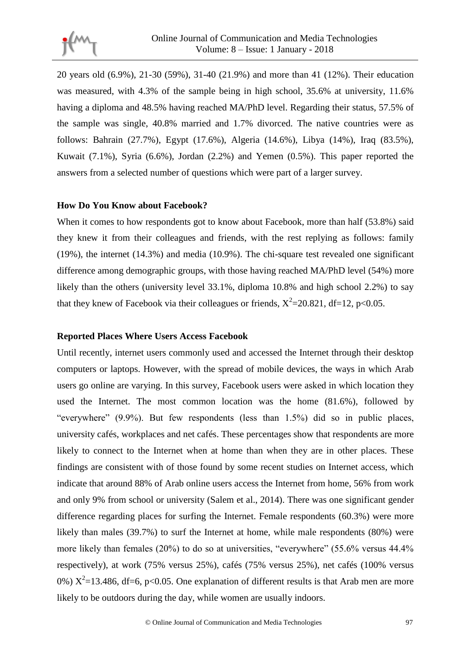

20 years old (6.9%), 21-30 (59%), 31-40 (21.9%) and more than 41 (12%). Their education was measured, with 4.3% of the sample being in high school, 35.6% at university, 11.6% having a diploma and 48.5% having reached MA/PhD level. Regarding their status, 57.5% of the sample was single, 40.8% married and 1.7% divorced. The native countries were as follows: Bahrain (27.7%), Egypt (17.6%), Algeria (14.6%), Libya (14%), Iraq (83.5%), Kuwait (7.1%), Syria (6.6%), Jordan (2.2%) and Yemen (0.5%). This paper reported the answers from a selected number of questions which were part of a larger survey.

## **How Do You Know about Facebook?**

When it comes to how respondents got to know about Facebook, more than half (53.8%) said they knew it from their colleagues and friends, with the rest replying as follows: family (19%), the internet (14.3%) and media (10.9%). The chi-square test revealed one significant difference among demographic groups, with those having reached MA/PhD level (54%) more likely than the others (university level 33.1%, diploma 10.8% and high school 2.2%) to say that they knew of Facebook via their colleagues or friends,  $X^2$ =20.821, df=12, p<0.05.

## **Reported Places Where Users Access Facebook**

Until recently, internet users commonly used and accessed the Internet through their desktop computers or laptops. However, with the spread of mobile devices, the ways in which Arab users go online are varying. In this survey, Facebook users were asked in which location they used the Internet. The most common location was the home (81.6%), followed by "everywhere" (9.9%). But few respondents (less than 1.5%) did so in public places, university cafés, workplaces and net cafés. These percentages show that respondents are more likely to connect to the Internet when at home than when they are in other places. These findings are consistent with of those found by some recent studies on Internet access, which indicate that around 88% of Arab online users access the Internet from home, 56% from work and only 9% from school or university (Salem et al., 2014). There was one significant gender difference regarding places for surfing the Internet. Female respondents (60.3%) were more likely than males (39.7%) to surf the Internet at home, while male respondents (80%) were more likely than females (20%) to do so at universities, "everywhere" (55.6% versus 44.4% respectively), at work (75% versus 25%), cafés (75% versus 25%), net cafés (100% versus 0%)  $X^2$ =13.486, df=6, p<0.05. One explanation of different results is that Arab men are more likely to be outdoors during the day, while women are usually indoors.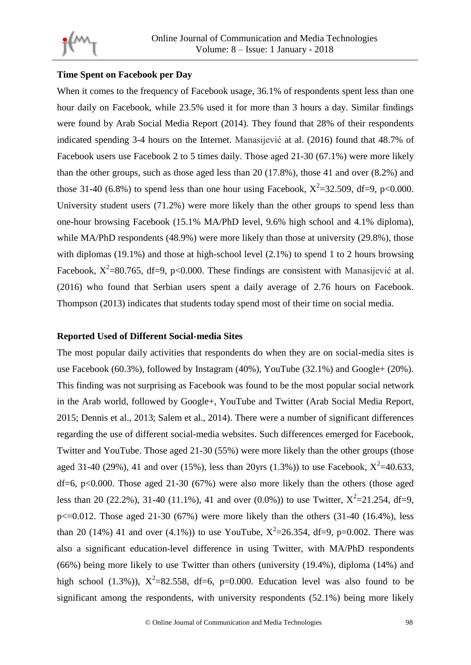

## **Time Spent on Facebook per Day**

When it comes to the frequency of Facebook usage, 36.1% of respondents spent less than one hour daily on Facebook, while 23.5% used it for more than 3 hours a day. Similar findings were found by Arab Social Media Report (2014). They found that 28% of their respondents indicated spending 3-4 hours on the Internet. Manasijević at al. (2016) found that 48.7% of Facebook users use Facebook 2 to 5 times daily. Those aged 21-30 (67.1%) were more likely than the other groups, such as those aged less than 20 (17.8%), those 41 and over (8.2%) and those 31-40 (6.8%) to spend less than one hour using Facebook,  $X^2 = 32.509$ , df=9, p<0.000. University student users (71.2%) were more likely than the other groups to spend less than one-hour browsing Facebook (15.1% MA/PhD level, 9.6% high school and 4.1% diploma), while MA/PhD respondents (48.9%) were more likely than those at university (29.8%), those with diplomas (19.1%) and those at high-school level (2.1%) to spend 1 to 2 hours browsing Facebook,  $X^2$ =80.765, df=9, p<0.000. These findings are consistent with Manasijević at al. (2016) who found that Serbian users spent a daily average of 2.76 hours on Facebook. Thompson (2013) indicates that students today spend most of their time on social media.

## **Reported Used of Different Social-media Sites**

The most popular daily activities that respondents do when they are on social-media sites is use Facebook (60.3%), followed by Instagram (40%), YouTube (32.1%) and Google+ (20%). This finding was not surprising as Facebook was found to be the most popular social network in the Arab world, followed by Google+, YouTube and Twitter (Arab Social Media Report, 2015; Dennis et al., 2013; Salem et al., 2014). There were a number of significant differences regarding the use of different social-media websites. Such differences emerged for Facebook, Twitter and YouTube. Those aged 21-30 (55%) were more likely than the other groups (those aged 31-40 (29%), 41 and over (15%), less than 20yrs (1.3%)) to use Facebook,  $X^2$ =40.633,  $df=6$ , p<0.000. Those aged 21-30 (67%) were also more likely than the others (those aged less than 20 (22.2%), 31-40 (11.1%), 41 and over (0.0%)) to use Twitter,  $X^2 = 21.254$ , df=9,  $p \le 0.012$ . Those aged 21-30 (67%) were more likely than the others (31-40 (16.4%), less than 20 (14%) 41 and over (4.1%)) to use YouTube,  $X^2 = 26.354$ , df=9, p=0.002. There was also a significant education-level difference in using Twitter, with MA/PhD respondents (66%) being more likely to use Twitter than others (university (19.4%), diploma (14%) and high school (1.3%)),  $X^2 = 82.558$ , df=6, p=0.000. Education level was also found to be significant among the respondents, with university respondents (52.1%) being more likely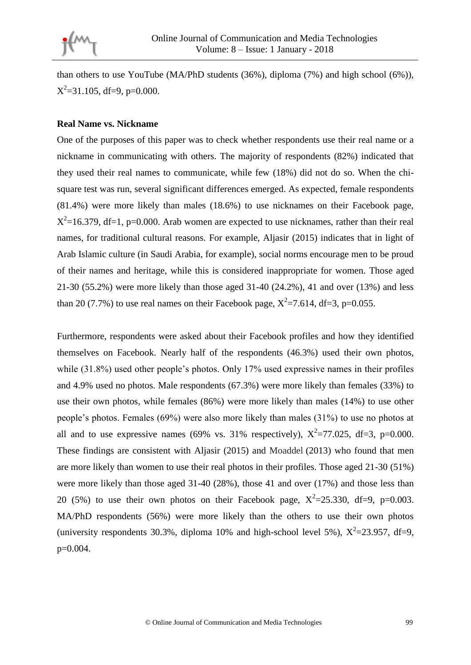

than others to use YouTube (MA/PhD students (36%), diploma (7%) and high school (6%)),  $X^2$ =31.105, df=9, p=0.000.

## **Real Name vs. Nickname**

One of the purposes of this paper was to check whether respondents use their real name or a nickname in communicating with others. The majority of respondents (82%) indicated that they used their real names to communicate, while few (18%) did not do so. When the chisquare test was run, several significant differences emerged. As expected, female respondents (81.4%) were more likely than males (18.6%) to use nicknames on their Facebook page,  $X^2$ =16.379, df=1, p=0.000. Arab women are expected to use nicknames, rather than their real names, for traditional cultural reasons. For example, Aljasir (2015) indicates that in light of Arab Islamic culture (in Saudi Arabia, for example), social norms encourage men to be proud of their names and heritage, while this is considered inappropriate for women. Those aged 21-30 (55.2%) were more likely than those aged 31-40 (24.2%), 41 and over (13%) and less than 20 (7.7%) to use real names on their Facebook page,  $X^2 = 7.614$ , df=3, p=0.055.

Furthermore, respondents were asked about their Facebook profiles and how they identified themselves on Facebook. Nearly half of the respondents (46.3%) used their own photos, while (31.8%) used other people's photos. Only 17% used expressive names in their profiles and 4.9% used no photos. Male respondents (67.3%) were more likely than females (33%) to use their own photos, while females (86%) were more likely than males (14%) to use other people's photos. Females (69%) were also more likely than males (31%) to use no photos at all and to use expressive names (69% vs. 31% respectively),  $X^2 = 77.025$ , df=3, p=0.000. These findings are consistent with Aljasir (2015) and Moaddel (2013) who found that men are more likely than women to use their real photos in their profiles. Those aged 21-30 (51%) were more likely than those aged 31-40 (28%), those 41 and over (17%) and those less than 20 (5%) to use their own photos on their Facebook page,  $X^2 = 25.330$ , df=9, p=0.003. MA/PhD respondents (56%) were more likely than the others to use their own photos (university respondents 30.3%, diploma 10% and high-school level 5%),  $X^2 = 23.957$ , df=9, p=0.004.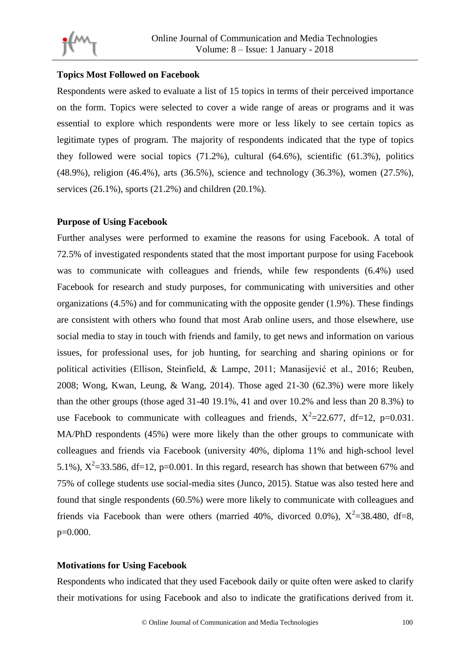

## **Topics Most Followed on Facebook**

Respondents were asked to evaluate a list of 15 topics in terms of their perceived importance on the form. Topics were selected to cover a wide range of areas or programs and it was essential to explore which respondents were more or less likely to see certain topics as legitimate types of program. The majority of respondents indicated that the type of topics they followed were social topics (71.2%), cultural (64.6%), scientific (61.3%), politics (48.9%), religion (46.4%), arts (36.5%), science and technology (36.3%), women (27.5%), services (26.1%), sports (21.2%) and children (20.1%).

## **Purpose of Using Facebook**

Further analyses were performed to examine the reasons for using Facebook. A total of 72.5% of investigated respondents stated that the most important purpose for using Facebook was to communicate with colleagues and friends, while few respondents (6.4%) used Facebook for research and study purposes, for communicating with universities and other organizations (4.5%) and for communicating with the opposite gender (1.9%). These findings are consistent with others who found that most Arab online users, and those elsewhere, use social media to stay in touch with friends and family, to get news and information on various issues, for professional uses, for job hunting, for searching and sharing opinions or for political activities (Ellison, Steinfield, & Lampe, 2011; Manasijević et al., 2016; Reuben, 2008; Wong, Kwan, Leung, & Wang, 2014). Those aged 21-30 (62.3%) were more likely than the other groups (those aged 31-40 19.1%, 41 and over 10.2% and less than 20 8.3%) to use Facebook to communicate with colleagues and friends,  $X^2 = 22.677$ , df=12, p=0.031. MA/PhD respondents (45%) were more likely than the other groups to communicate with colleagues and friends via Facebook (university 40%, diploma 11% and high-school level 5.1%),  $X^2$ =33.586, df=12, p=0.001. In this regard, research has shown that between 67% and 75% of college students use social-media sites (Junco, 2015). Statue was also tested here and found that single respondents (60.5%) were more likely to communicate with colleagues and friends via Facebook than were others (married 40%, divorced 0.0%),  $X^2 = 38.480$ , df=8, p=0.000.

## **Motivations for Using Facebook**

Respondents who indicated that they used Facebook daily or quite often were asked to clarify their motivations for using Facebook and also to indicate the gratifications derived from it.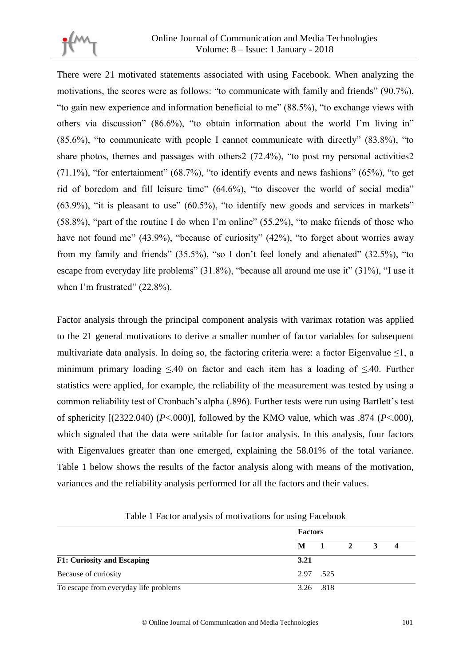

There were 21 motivated statements associated with using Facebook. When analyzing the motivations, the scores were as follows: "to communicate with family and friends" (90.7%), "to gain new experience and information beneficial to me" (88.5%), "to exchange views with others via discussion" (86.6%), "to obtain information about the world I'm living in" (85.6%), "to communicate with people I cannot communicate with directly" (83.8%), "to share photos, themes and passages with others2 (72.4%), "to post my personal activities2  $(71.1\%)$ , "for entertainment"  $(68.7\%)$ , "to identify events and news fashions"  $(65\%)$ , "to get rid of boredom and fill leisure time" (64.6%), "to discover the world of social media"  $(63.9\%)$ , "it is pleasant to use"  $(60.5\%)$ , "to identify new goods and services in markets" (58.8%), "part of the routine I do when I'm online" (55.2%), "to make friends of those who have not found me" (43.9%), "because of curiosity" (42%), "to forget about worries away from my family and friends" (35.5%), "so I don't feel lonely and alienated" (32.5%), "to escape from everyday life problems" (31.8%), "because all around me use it" (31%), "I use it when I'm frustrated" (22.8%).

Factor analysis through the principal component analysis with varimax rotation was applied to the 21 general motivations to derive a smaller number of factor variables for subsequent multivariate data analysis. In doing so, the factoring criteria were: a factor Eigenvalue  $\leq 1$ , a minimum primary loading ≤.40 on factor and each item has a loading of ≤.40. Further statistics were applied, for example, the reliability of the measurement was tested by using a common reliability test of Cronbach's alpha (.896). Further tests were run using Bartlett's test of sphericity [(2322.040) (*P*<.000)], followed by the KMO value, which was .874 (*P*<.000), which signaled that the data were suitable for factor analysis. In this analysis, four factors with Eigenvalues greater than one emerged, explaining the 58.01% of the total variance. Table 1 below shows the results of the factor analysis along with means of the motivation, variances and the reliability analysis performed for all the factors and their values.

|                                       | <b>Factors</b> |           |              |  |  |  |  |  |  |
|---------------------------------------|----------------|-----------|--------------|--|--|--|--|--|--|
|                                       | $M = 1$        |           | $\mathbf{2}$ |  |  |  |  |  |  |
| <b>F1: Curiosity and Escaping</b>     | 3.21           |           |              |  |  |  |  |  |  |
| Because of curiosity                  |                | 2.97 .525 |              |  |  |  |  |  |  |
| To escape from everyday life problems |                | 3.26 .818 |              |  |  |  |  |  |  |

Table 1 Factor analysis of motivations for using Facebook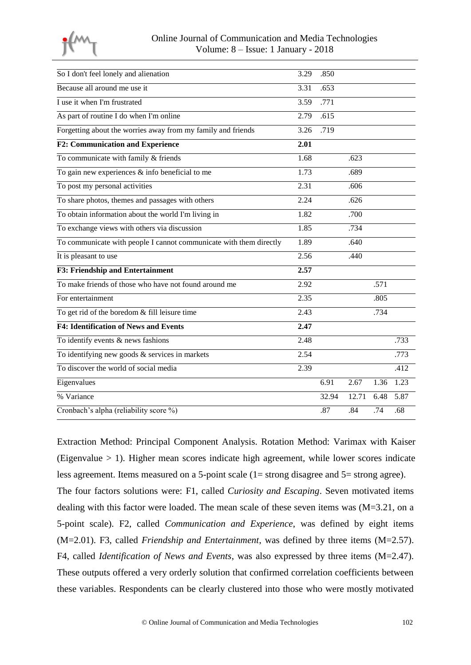

| So I don't feel lonely and alienation                              | 3.29              | .850  |       |      |      |
|--------------------------------------------------------------------|-------------------|-------|-------|------|------|
| Because all around me use it                                       | 3.31              | .653  |       |      |      |
| I use it when I'm frustrated                                       | 3.59              | .771  |       |      |      |
| As part of routine I do when I'm online                            | 2.79              | .615  |       |      |      |
| Forgetting about the worries away from my family and friends       | 3.26              | .719  |       |      |      |
| <b>F2: Communication and Experience</b>                            | 2.01              |       |       |      |      |
| To communicate with family & friends                               | 1.68              |       | .623  |      |      |
| To gain new experiences $\&$ info beneficial to me                 | 1.73              |       | .689  |      |      |
| To post my personal activities                                     | $\overline{2.31}$ |       | .606  |      |      |
| To share photos, themes and passages with others                   | 2.24              |       | .626  |      |      |
| To obtain information about the world I'm living in                | 1.82              |       | .700  |      |      |
| To exchange views with others via discussion                       | 1.85              |       | .734  |      |      |
| To communicate with people I cannot communicate with them directly | 1.89              |       | .640  |      |      |
| It is pleasant to use                                              | 2.56              |       | .440  |      |      |
| <b>F3: Friendship and Entertainment</b>                            | 2.57              |       |       |      |      |
| To make friends of those who have not found around me              | 2.92              |       |       | .571 |      |
| For entertainment                                                  | 2.35              |       |       | .805 |      |
| To get rid of the boredom & fill leisure time                      | 2.43              |       |       | .734 |      |
| <b>F4: Identification of News and Events</b>                       | 2.47              |       |       |      |      |
| To identify events $\&$ news fashions                              | 2.48              |       |       |      | .733 |
| To identifying new goods $&$ services in markets                   | 2.54              |       |       |      | .773 |
| To discover the world of social media                              | 2.39              |       |       |      | .412 |
| Eigenvalues                                                        |                   | 6.91  | 2.67  | 1.36 | 1.23 |
| % Variance                                                         |                   | 32.94 | 12.71 | 6.48 | 5.87 |
| Cronbach's alpha (reliability score %)                             |                   | .87   | .84   | .74  | .68  |
|                                                                    |                   |       |       |      |      |

Extraction Method: Principal Component Analysis. Rotation Method: Varimax with Kaiser (Eigenvalue > 1). Higher mean scores indicate high agreement, while lower scores indicate less agreement. Items measured on a 5-point scale (1= strong disagree and 5= strong agree). The four factors solutions were: F1, called *Curiosity and Escaping*. Seven motivated items dealing with this factor were loaded. The mean scale of these seven items was (M=3.21, on a 5-point scale). F2, called *Communication and Experience*, was defined by eight items (M=2.01). F3, called *Friendship and Entertainment*, was defined by three items (M=2.57). F4, called *Identification of News and Events*, was also expressed by three items (M=2.47). These outputs offered a very orderly solution that confirmed correlation coefficients between these variables. Respondents can be clearly clustered into those who were mostly motivated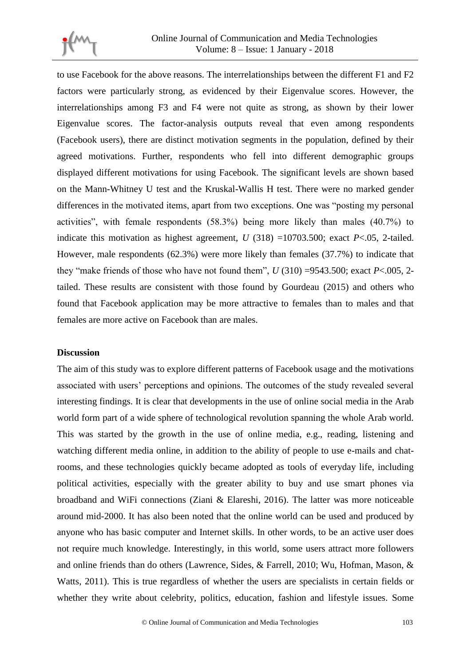

to use Facebook for the above reasons. The interrelationships between the different F1 and F2 factors were particularly strong, as evidenced by their Eigenvalue scores. However, the interrelationships among F3 and F4 were not quite as strong, as shown by their lower Eigenvalue scores. The factor-analysis outputs reveal that even among respondents (Facebook users), there are distinct motivation segments in the population, defined by their agreed motivations. Further, respondents who fell into different demographic groups displayed different motivations for using Facebook. The significant levels are shown based on the Mann-Whitney U test and the Kruskal-Wallis H test. There were no marked gender differences in the motivated items, apart from two exceptions. One was "posting my personal activities", with female respondents (58.3%) being more likely than males (40.7%) to indicate this motivation as highest agreement,  $U(318) = 10703.500$ ; exact  $P < .05$ , 2-tailed. However, male respondents (62.3%) were more likely than females (37.7%) to indicate that they "make friends of those who have not found them",  $U(310) = 9543.500$ ; exact  $P < .005$ , 2tailed. These results are consistent with those found by Gourdeau (2015) and others who found that Facebook application may be more attractive to females than to males and that females are more active on Facebook than are males.

#### **Discussion**

The aim of this study was to explore different patterns of Facebook usage and the motivations associated with users' perceptions and opinions. The outcomes of the study revealed several interesting findings. It is clear that developments in the use of online social media in the Arab world form part of a wide sphere of technological revolution spanning the whole Arab world. This was started by the growth in the use of online media, e.g., reading, listening and watching different media online, in addition to the ability of people to use e-mails and chatrooms, and these technologies quickly became adopted as tools of everyday life, including political activities, especially with the greater ability to buy and use smart phones via broadband and WiFi connections (Ziani & Elareshi, 2016). The latter was more noticeable around mid-2000. It has also been noted that the online world can be used and produced by anyone who has basic computer and Internet skills. In other words, to be an active user does not require much knowledge. Interestingly, in this world, some users attract more followers and online friends than do others (Lawrence, Sides, & Farrell, 2010; Wu, Hofman, Mason, & Watts, 2011). This is true regardless of whether the users are specialists in certain fields or whether they write about celebrity, politics, education, fashion and lifestyle issues. Some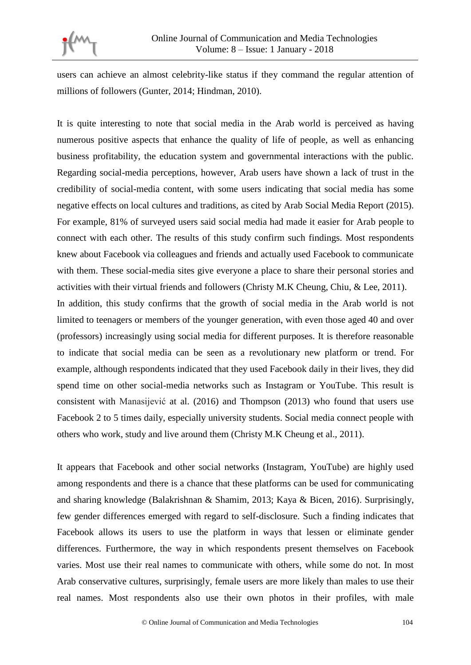

users can achieve an almost celebrity-like status if they command the regular attention of millions of followers (Gunter, 2014; Hindman, 2010).

It is quite interesting to note that social media in the Arab world is perceived as having numerous positive aspects that enhance the quality of life of people, as well as enhancing business profitability, the education system and governmental interactions with the public. Regarding social-media perceptions, however, Arab users have shown a lack of trust in the credibility of social-media content, with some users indicating that social media has some negative effects on local cultures and traditions, as cited by Arab Social Media Report (2015). For example, 81% of surveyed users said social media had made it easier for Arab people to connect with each other. The results of this study confirm such findings. Most respondents knew about Facebook via colleagues and friends and actually used Facebook to communicate with them. These social-media sites give everyone a place to share their personal stories and activities with their virtual friends and followers (Christy M.K Cheung, Chiu, & Lee, 2011). In addition, this study confirms that the growth of social media in the Arab world is not limited to teenagers or members of the younger generation, with even those aged 40 and over (professors) increasingly using social media for different purposes. It is therefore reasonable to indicate that social media can be seen as a revolutionary new platform or trend. For example, although respondents indicated that they used Facebook daily in their lives, they did spend time on other social-media networks such as Instagram or YouTube. This result is consistent with Manasijević at al. (2016) and Thompson (2013) who found that users use Facebook 2 to 5 times daily, especially university students. Social media connect people with others who work, study and live around them (Christy M.K Cheung et al., 2011).

It appears that Facebook and other social networks (Instagram, YouTube) are highly used among respondents and there is a chance that these platforms can be used for communicating and sharing knowledge (Balakrishnan & Shamim, 2013; Kaya & Bicen, 2016). Surprisingly, few gender differences emerged with regard to self-disclosure. Such a finding indicates that Facebook allows its users to use the platform in ways that lessen or eliminate gender differences. Furthermore, the way in which respondents present themselves on Facebook varies. Most use their real names to communicate with others, while some do not. In most Arab conservative cultures, surprisingly, female users are more likely than males to use their real names. Most respondents also use their own photos in their profiles, with male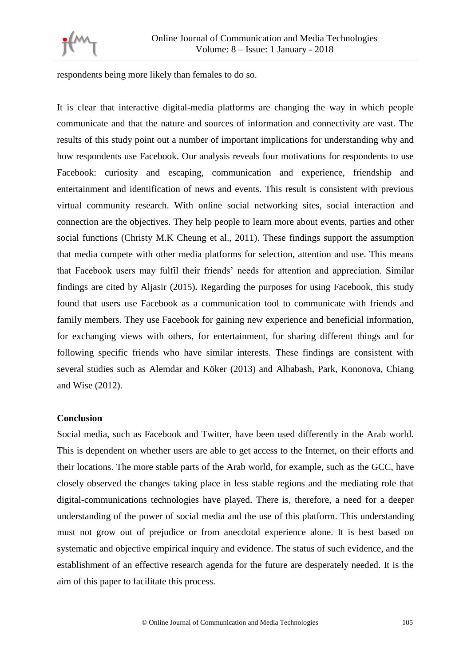

respondents being more likely than females to do so.

It is clear that interactive digital-media platforms are changing the way in which people communicate and that the nature and sources of information and connectivity are vast. The results of this study point out a number of important implications for understanding why and how respondents use Facebook. Our analysis reveals four motivations for respondents to use Facebook: curiosity and escaping, communication and experience, friendship and entertainment and identification of news and events. This result is consistent with previous virtual community research. With online social networking sites, social interaction and connection are the objectives. They help people to learn more about events, parties and other social functions (Christy M.K Cheung et al., 2011). These findings support the assumption that media compete with other media platforms for selection, attention and use. This means that Facebook users may fulfil their friends' needs for attention and appreciation. Similar findings are cited by Aljasir (2015)**.** Regarding the purposes for using Facebook, this study found that users use Facebook as a communication tool to communicate with friends and family members. They use Facebook for gaining new experience and beneficial information, for exchanging views with others, for entertainment, for sharing different things and for following specific friends who have similar interests. These findings are consistent with several studies such as Alemdar and Köker (2013) and Alhabash, Park, Kononova, Chiang and Wise (2012).

## **Conclusion**

Social media, such as Facebook and Twitter, have been used differently in the Arab world. This is dependent on whether users are able to get access to the Internet, on their efforts and their locations. The more stable parts of the Arab world, for example, such as the GCC, have closely observed the changes taking place in less stable regions and the mediating role that digital-communications technologies have played. There is, therefore, a need for a deeper understanding of the power of social media and the use of this platform. This understanding must not grow out of prejudice or from anecdotal experience alone. It is best based on systematic and objective empirical inquiry and evidence. The status of such evidence, and the establishment of an effective research agenda for the future are desperately needed. It is the aim of this paper to facilitate this process.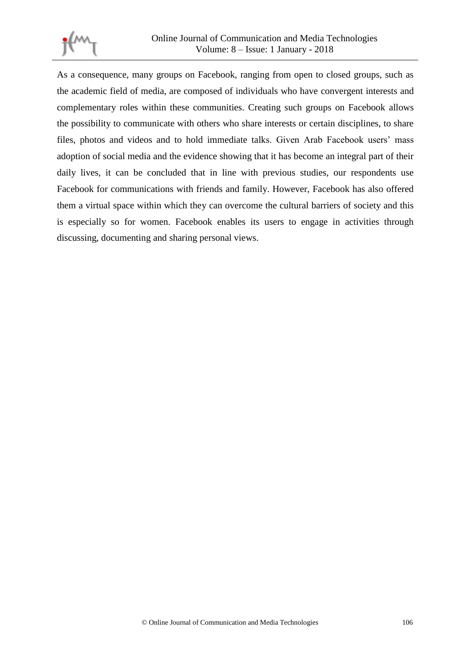

As a consequence, many groups on Facebook, ranging from open to closed groups, such as the academic field of media, are composed of individuals who have convergent interests and complementary roles within these communities. Creating such groups on Facebook allows the possibility to communicate with others who share interests or certain disciplines, to share files, photos and videos and to hold immediate talks. Given Arab Facebook users' mass adoption of social media and the evidence showing that it has become an integral part of their daily lives, it can be concluded that in line with previous studies, our respondents use Facebook for communications with friends and family. However, Facebook has also offered them a virtual space within which they can overcome the cultural barriers of society and this is especially so for women. Facebook enables its users to engage in activities through discussing, documenting and sharing personal views.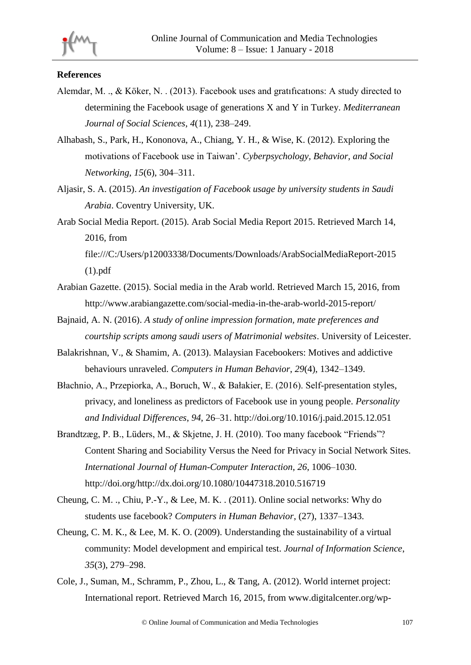

# **References**

- Alemdar, M. ., & Köker, N. . (2013). Facebook uses and gratıfıcatıons: A study directed to determining the Facebook usage of generations X and Y in Turkey. *Mediterranean Journal of Social Sciences*, *4*(11), 238–249.
- Alhabash, S., Park, H., Kononova, A., Chiang, Y. H., & Wise, K. (2012). Exploring the motivations of Facebook use in Taiwan'. *Cyberpsychology, Behavior, and Social Networking*, *15*(6), 304–311.
- Aljasir, S. A. (2015). *An investigation of Facebook usage by university students in Saudi Arabia*. Coventry University, UK.
- Arab Social Media Report. (2015). Arab Social Media Report 2015. Retrieved March 14, 2016, from file:///C:/Users/p12003338/Documents/Downloads/ArabSocialMediaReport-2015

(1).pdf

- Arabian Gazette. (2015). Social media in the Arab world. Retrieved March 15, 2016, from http://www.arabiangazette.com/social-media-in-the-arab-world-2015-report/
- Bajnaid, A. N. (2016). *A study of online impression formation, mate preferences and courtship scripts among saudi users of Matrimonial websites*. University of Leicester.
- Balakrishnan, V., & Shamim, A. (2013). Malaysian Facebookers: Motives and addictive behaviours unraveled. *Computers in Human Behavior*, *29*(4), 1342–1349.
- Błachnio, A., Przepiorka, A., Boruch, W., & Bałakier, E. (2016). Self-presentation styles, privacy, and loneliness as predictors of Facebook use in young people. *Personality and Individual Differences*, *94*, 26–31. http://doi.org/10.1016/j.paid.2015.12.051
- Brandtzæg, P. B., Lüders, M., & Skjetne, J. H. (2010). Too many facebook "Friends"? Content Sharing and Sociability Versus the Need for Privacy in Social Network Sites. *International Journal of Human-Computer Interaction*, *26*, 1006–1030. http://doi.org/http://dx.doi.org/10.1080/10447318.2010.516719
- Cheung, C. M. ., Chiu, P.-Y., & Lee, M. K. . (2011). Online social networks: Why do students use facebook? *Computers in Human Behavior*, (27), 1337–1343.
- Cheung, C. M. K., & Lee, M. K. O. (2009). Understanding the sustainability of a virtual community: Model development and empirical test. *Journal of Information Science*, *35*(3), 279–298.
- Cole, J., Suman, M., Schramm, P., Zhou, L., & Tang, A. (2012). World internet project: International report. Retrieved March 16, 2015, from www.digitalcenter.org/wp-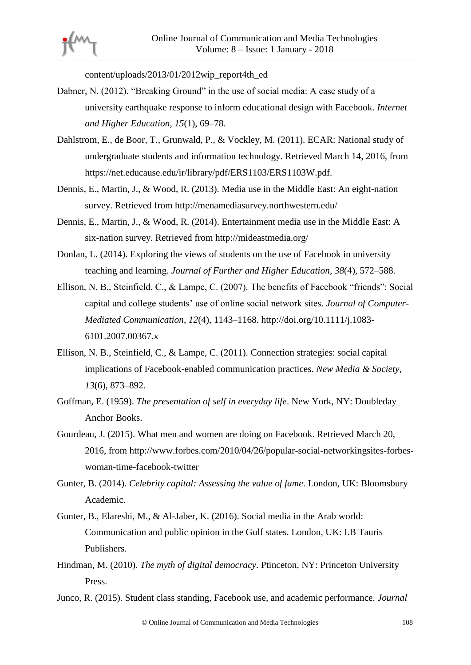

content/uploads/2013/01/2012wip\_report4th\_ed

- Dabner, N. (2012). "Breaking Ground" in the use of social media: A case study of a university earthquake response to inform educational design with Facebook. *Internet and Higher Education*, *15*(1), 69–78.
- Dahlstrom, E., de Boor, T., Grunwald, P., & Vockley, M. (2011). ECAR: National study of undergraduate students and information technology. Retrieved March 14, 2016, from https://net.educause.edu/ir/library/pdf/ERS1103/ERS1103W.pdf.
- Dennis, E., Martin, J., & Wood, R. (2013). Media use in the Middle East: An eight-nation survey. Retrieved from http://menamediasurvey.northwestern.edu/
- Dennis, E., Martin, J., & Wood, R. (2014). Entertainment media use in the Middle East: A six-nation survey. Retrieved from http://mideastmedia.org/
- Donlan, L. (2014). Exploring the views of students on the use of Facebook in university teaching and learning. *Journal of Further and Higher Education*, *38*(4), 572–588.
- Ellison, N. B., Steinfield, C., & Lampe, C. (2007). The benefits of Facebook "friends": Social capital and college students' use of online social network sites. *Journal of Computer-Mediated Communication*, *12*(4), 1143–1168. http://doi.org/10.1111/j.1083- 6101.2007.00367.x
- Ellison, N. B., Steinfield, C., & Lampe, C. (2011). Connection strategies: social capital implications of Facebook-enabled communication practices. *New Media & Society*, *13*(6), 873–892.
- Goffman, E. (1959). *The presentation of self in everyday life*. New York, NY: Doubleday Anchor Books.
- Gourdeau, J. (2015). What men and women are doing on Facebook. Retrieved March 20, 2016, from http://www.forbes.com/2010/04/26/popular-social-networkingsites-forbeswoman-time-facebook-twitter
- Gunter, B. (2014). *Celebrity capital: Assessing the value of fame*. London, UK: Bloomsbury Academic.
- Gunter, B., Elareshi, M., & Al-Jaber, K. (2016). Social media in the Arab world: Communication and public opinion in the Gulf states. London, UK: I.B Tauris Publishers.
- Hindman, M. (2010). *The myth of digital democracy*. Ptinceton, NY: Princeton University Press.
- Junco, R. (2015). Student class standing, Facebook use, and academic performance. *Journal*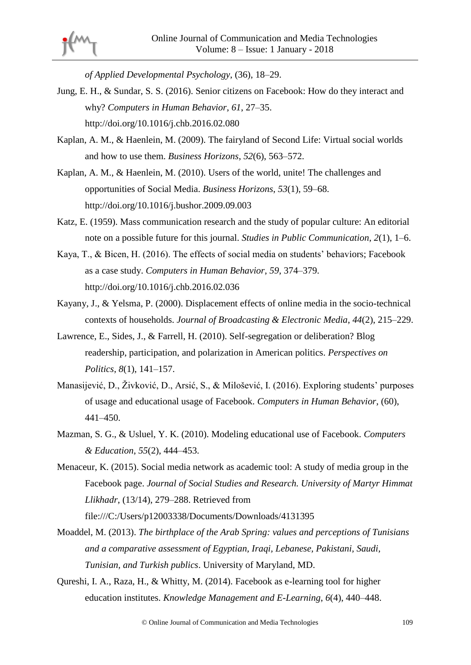*of Applied Developmental Psychology*, (36), 18–29.

- Jung, E. H., & Sundar, S. S. (2016). Senior citizens on Facebook: How do they interact and why? *Computers in Human Behavior*, *61*, 27–35. http://doi.org/10.1016/j.chb.2016.02.080
- Kaplan, A. M., & Haenlein, M. (2009). The fairyland of Second Life: Virtual social worlds and how to use them. *Business Horizons*, *52*(6), 563–572.
- Kaplan, A. M., & Haenlein, M. (2010). Users of the world, unite! The challenges and opportunities of Social Media. *Business Horizons*, *53*(1), 59–68. http://doi.org/10.1016/j.bushor.2009.09.003
- Katz, E. (1959). Mass communication research and the study of popular culture: An editorial note on a possible future for this journal. *Studies in Public Communication*, *2*(1), 1–6.
- Kaya, T., & Bicen, H. (2016). The effects of social media on students' behaviors; Facebook as a case study. *Computers in Human Behavior*, *59*, 374–379. http://doi.org/10.1016/j.chb.2016.02.036
- Kayany, J., & Yelsma, P. (2000). Displacement effects of online media in the socio-technical contexts of households. *Journal of Broadcasting & Electronic Media*, *44*(2), 215–229.
- Lawrence, E., Sides, J., & Farrell, H. (2010). Self-segregation or deliberation? Blog readership, participation, and polarization in American politics. *Perspectives on Politics*, *8*(1), 141–157.
- Manasijević, D., Živković, D., Arsić, S., & Milošević, I. (2016). Exploring students' purposes of usage and educational usage of Facebook. *Computers in Human Behavior*, (60), 441–450.
- Mazman, S. G., & Usluel, Y. K. (2010). Modeling educational use of Facebook. *Computers & Education*, *55*(2), 444–453.
- Menaceur, K. (2015). Social media network as academic tool: A study of media group in the Facebook page. *Journal of Social Studies and Research. University of Martyr Himmat Llikhadr*, (13/14), 279–288. Retrieved from

file:///C:/Users/p12003338/Documents/Downloads/4131395

- Moaddel, M. (2013). *The birthplace of the Arab Spring: values and perceptions of Tunisians and a comparative assessment of Egyptian, Iraqi, Lebanese, Pakistani, Saudi, Tunisian, and Turkish publics*. University of Maryland, MD.
- Qureshi, I. A., Raza, H., & Whitty, M. (2014). Facebook as e-learning tool for higher education institutes. *Knowledge Management and E-Learning*, *6*(4), 440–448.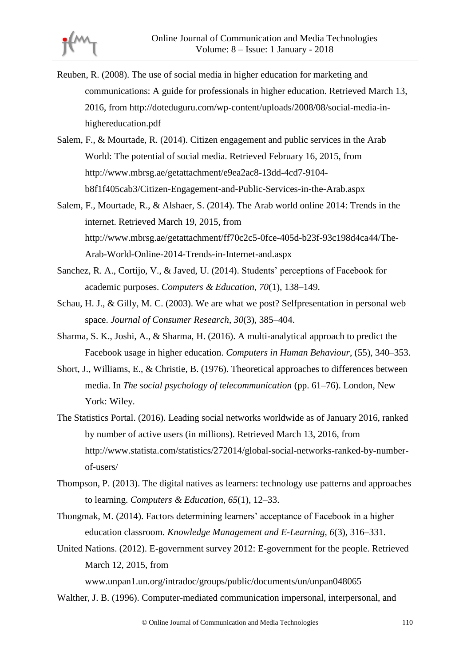

- Reuben, R. (2008). The use of social media in higher education for marketing and communications: A guide for professionals in higher education. Retrieved March 13, 2016, from http://doteduguru.com/wp-content/uploads/2008/08/social-media-inhighereducation.pdf
- Salem, F., & Mourtade, R. (2014). Citizen engagement and public services in the Arab World: The potential of social media. Retrieved February 16, 2015, from http://www.mbrsg.ae/getattachment/e9ea2ac8-13dd-4cd7-9104 b8f1f405cab3/Citizen-Engagement-and-Public-Services-in-the-Arab.aspx
- Salem, F., Mourtade, R., & Alshaer, S. (2014). The Arab world online 2014: Trends in the internet. Retrieved March 19, 2015, from http://www.mbrsg.ae/getattachment/ff70c2c5-0fce-405d-b23f-93c198d4ca44/The-Arab-World-Online-2014-Trends-in-Internet-and.aspx
- Sanchez, R. A., Cortijo, V., & Javed, U. (2014). Students' perceptions of Facebook for academic purposes. *Computers & Education*, *70*(1), 138–149.
- Schau, H. J., & Gilly, M. C. (2003). We are what we post? Selfpresentation in personal web space. *Journal of Consumer Research*, *30*(3), 385–404.
- Sharma, S. K., Joshi, A., & Sharma, H. (2016). A multi-analytical approach to predict the Facebook usage in higher education. *Computers in Human Behaviour*, (55), 340–353.
- Short, J., Williams, E., & Christie, B. (1976). Theoretical approaches to differences between media. In *The social psychology of telecommunication* (pp. 61–76). London, New York: Wiley.
- The Statistics Portal. (2016). Leading social networks worldwide as of January 2016, ranked by number of active users (in millions). Retrieved March 13, 2016, from http://www.statista.com/statistics/272014/global-social-networks-ranked-by-numberof-users/
- Thompson, P. (2013). The digital natives as learners: technology use patterns and approaches to learning. *Computers & Education*, *65*(1), 12–33.
- Thongmak, M. (2014). Factors determining learners' acceptance of Facebook in a higher education classroom. *Knowledge Management and E-Learning*, *6*(3), 316–331.
- United Nations. (2012). E-government survey 2012: E-government for the people. Retrieved March 12, 2015, from

www.unpan1.un.org/intradoc/groups/public/documents/un/unpan048065

Walther, J. B. (1996). Computer-mediated communication impersonal, interpersonal, and